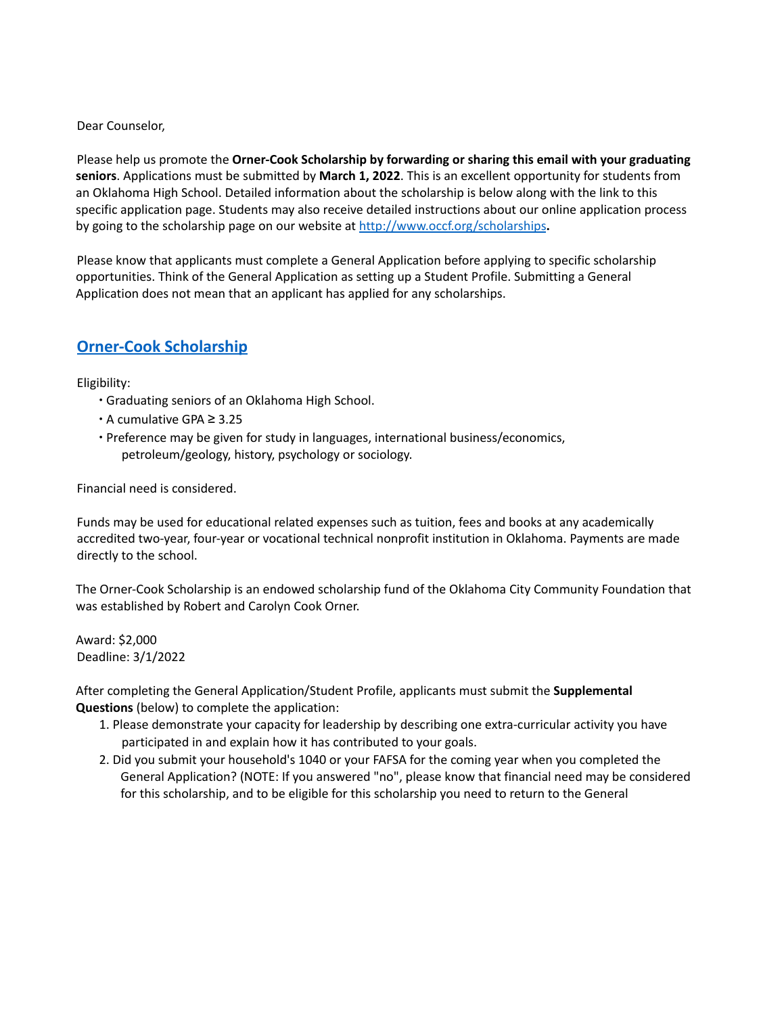Dear Counselor,

Please help us promote the **Orner-Cook Scholarship by forwarding or sharing this email with your graduating seniors**. Applications must be submitted by **March 1, 2022**. This is an excellent opportunity for students from an Oklahoma High School. Detailed information about the scholarship is below along with the link to this specific application page. Students may also receive detailed instructions about our online application process by going to the scholarship page on our website at http://www.occf.org/scholarships**.**

Please know that applicants must complete a General Application before applying to specific scholarship opportunities. Think of the General Application as setting up a Student Profile. Submitting a General Application does not mean that an applicant has applied for any scholarships.

## **Orner-Cook Scholarship**

Eligibility:

- ∙ Graduating seniors of an Oklahoma High School.
- ∙ A cumulative GPA ≥ 3.25
- ∙ Preference may be given for study in languages, international business/economics, petroleum/geology, history, psychology or sociology.

Financial need is considered.

Funds may be used for educational related expenses such as tuition, fees and books at any academically accredited two-year, four-year or vocational technical nonprofit institution in Oklahoma. Payments are made directly to the school.

The Orner-Cook Scholarship is an endowed scholarship fund of the Oklahoma City Community Foundation that was established by Robert and Carolyn Cook Orner.

Award: \$2,000 Deadline: 3/1/2022

After completing the General Application/Student Profile, applicants must submit the **Supplemental Questions** (below) to complete the application:

- 1. Please demonstrate your capacity for leadership by describing one extra-curricular activity you have participated in and explain how it has contributed to your goals.
- 2. Did you submit your household's 1040 or your FAFSA for the coming year when you completed the General Application? (NOTE: If you answered "no", please know that financial need may be considered for this scholarship, and to be eligible for this scholarship you need to return to the General